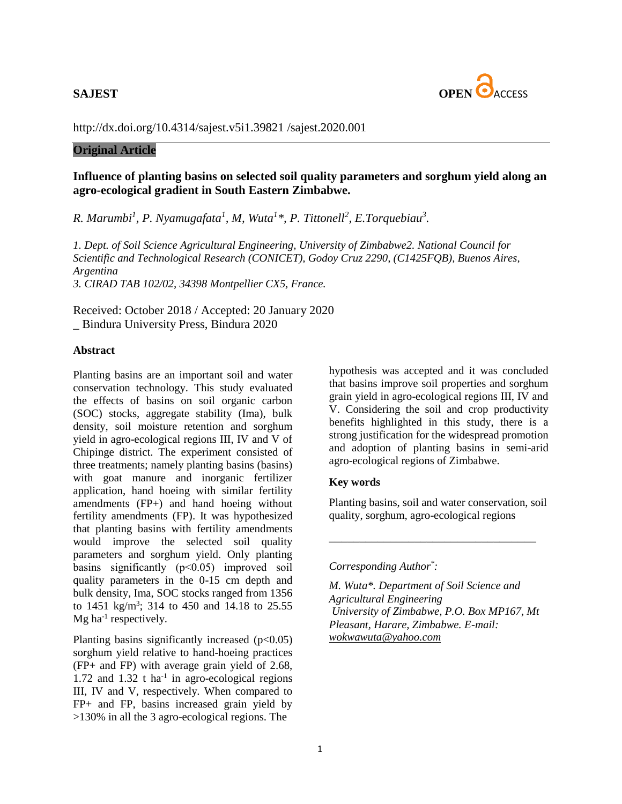

<http://dx.doi.org/10.4314/sajest.v5i1.39821> /sajest.2020.001

## **Original Article**

# **Influence of planting basins on selected soil quality parameters and sorghum yield along an agro-ecological gradient in South Eastern Zimbabwe.**

*R. Marumbi<sup>1</sup> , P. Nyamugafata<sup>1</sup> , M, Wuta<sup>1</sup> \*, P. Tittonell<sup>2</sup> , E.Torquebiau<sup>3</sup> .*

*1. Dept. of Soil Science Agricultural Engineering, University of Zimbabwe2. National Council for Scientific and Technological Research (CONICET), Godoy Cruz 2290, (C1425FQB), Buenos Aires, Argentina 3. CIRAD TAB 102/02, 34398 Montpellier CX5, France.* 

Received: October 2018 / Accepted: 20 January 2020 \_ Bindura University Press, Bindura 2020

## **Abstract**

Planting basins are an important soil and water conservation technology. This study evaluated the effects of basins on soil organic carbon (SOC) stocks, aggregate stability (Ima), bulk density, soil moisture retention and sorghum yield in agro-ecological regions III, IV and V of Chipinge district. The experiment consisted of three treatments; namely planting basins (basins) with goat manure and inorganic fertilizer application, hand hoeing with similar fertility amendments (FP+) and hand hoeing without fertility amendments (FP). It was hypothesized that planting basins with fertility amendments would improve the selected soil quality parameters and sorghum yield. Only planting basins significantly (p˂0.05) improved soil quality parameters in the 0-15 cm depth and bulk density, Ima, SOC stocks ranged from 1356 to 1451 kg/m<sup>3</sup>; 314 to 450 and 14.18 to 25.55  $Mg$  ha<sup>-1</sup> respectively.

Planting basins significantly increased  $(p<0.05)$ sorghum yield relative to hand-hoeing practices (FP+ and FP) with average grain yield of 2.68,  $1.72$  and  $1.32$  t ha<sup>-1</sup> in agro-ecological regions III, IV and V, respectively. When compared to FP+ and FP, basins increased grain yield by >130% in all the 3 agro-ecological regions. The

hypothesis was accepted and it was concluded that basins improve soil properties and sorghum grain yield in agro-ecological regions III, IV and V. Considering the soil and crop productivity benefits highlighted in this study, there is a strong justification for the widespread promotion and adoption of planting basins in semi-arid agro-ecological regions of Zimbabwe.

#### **Key words**

Planting basins, soil and water conservation, soil quality, sorghum, agro-ecological regions

\_\_\_\_\_\_\_\_\_\_\_\_\_\_\_\_\_\_\_\_\_\_\_\_\_\_\_\_\_\_\_\_\_\_

## *Corresponding Author\* :*

*M. Wuta\*. Department of Soil Science and Agricultural Engineering University of Zimbabwe, P.O. Box MP167, Mt Pleasant, Harare, Zimbabwe. E-mail: wokwawuta@yahoo.com*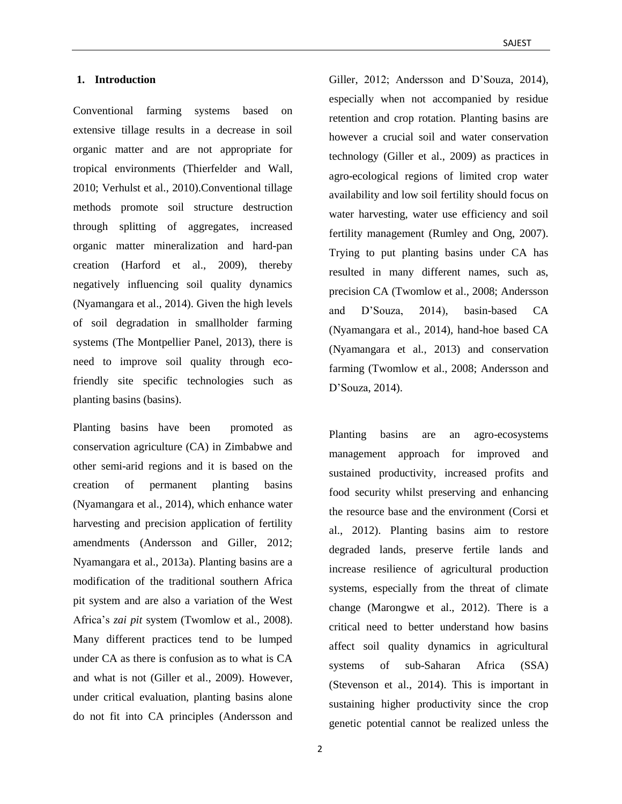#### **1. Introduction**

Conventional farming systems based on extensive tillage results in a decrease in soil organic matter and are not appropriate for tropical environments (Thierfelder and Wall, 2010; Verhulst et al., 2010).Conventional tillage methods promote soil structure destruction through splitting of aggregates, increased organic matter mineralization and hard-pan creation (Harford et al., 2009), thereby negatively influencing soil quality dynamics (Nyamangara et al., 2014). Given the high levels of soil degradation in smallholder farming systems (The Montpellier Panel, 2013), there is need to improve soil quality through ecofriendly site specific technologies such as planting basins (basins).

Planting basins have been promoted as conservation agriculture (CA) in Zimbabwe and other semi-arid regions and it is based on the creation of permanent planting basins (Nyamangara et al., 2014), which enhance water harvesting and precision application of fertility amendments (Andersson and Giller, 2012; Nyamangara et al., 2013a). Planting basins are a modification of the traditional southern Africa pit system and are also a variation of the West Africa's *zai pit* system (Twomlow et al., 2008). Many different practices tend to be lumped under CA as there is confusion as to what is CA and what is not (Giller et al., 2009). However, under critical evaluation, planting basins alone do not fit into CA principles (Andersson and

Giller, 2012; Andersson and D'Souza, 2014), especially when not accompanied by residue retention and crop rotation. Planting basins are however a crucial soil and water conservation technology (Giller et al., 2009) as practices in agro-ecological regions of limited crop water availability and low soil fertility should focus on water harvesting, water use efficiency and soil fertility management (Rumley and Ong, 2007). Trying to put planting basins under CA has resulted in many different names, such as, precision CA (Twomlow et al., 2008; Andersson and D'Souza, 2014), basin-based CA (Nyamangara et al., 2014), hand-hoe based CA (Nyamangara et al., 2013) and conservation farming (Twomlow et al., 2008; Andersson and D'Souza, 2014).

Planting basins are an agro-ecosystems management approach for improved and sustained productivity, increased profits and food security whilst preserving and enhancing the resource base and the environment (Corsi et al., 2012). Planting basins aim to restore degraded lands, preserve fertile lands and increase resilience of agricultural production systems, especially from the threat of climate change (Marongwe et al., 2012). There is a critical need to better understand how basins affect soil quality dynamics in agricultural systems of sub-Saharan Africa (SSA) (Stevenson et al., 2014). This is important in sustaining higher productivity since the crop genetic potential cannot be realized unless the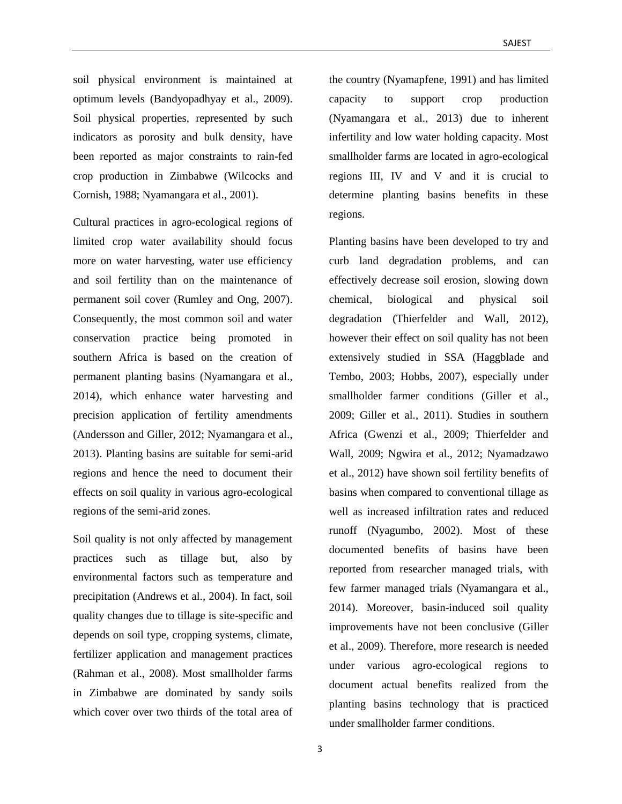soil physical environment is maintained at optimum levels (Bandyopadhyay et al., 2009). Soil physical properties, represented by such indicators as porosity and bulk density, have been reported as major constraints to rain-fed crop production in Zimbabwe (Wilcocks and Cornish, 1988; Nyamangara et al., 2001).

Cultural practices in agro-ecological regions of limited crop water availability should focus more on water harvesting, water use efficiency and soil fertility than on the maintenance of permanent soil cover (Rumley and Ong, 2007). Consequently, the most common soil and water conservation practice being promoted in southern Africa is based on the creation of permanent planting basins (Nyamangara et al., 2014), which enhance water harvesting and precision application of fertility amendments (Andersson and Giller, 2012; Nyamangara et al., 2013). Planting basins are suitable for semi-arid regions and hence the need to document their effects on soil quality in various agro-ecological regions of the semi-arid zones.

Soil quality is not only affected by management practices such as tillage but, also by environmental factors such as temperature and precipitation (Andrews et al., 2004). In fact, soil quality changes due to tillage is site-specific and depends on soil type, cropping systems, climate, fertilizer application and management practices (Rahman et al., 2008). Most smallholder farms in Zimbabwe are dominated by sandy soils which cover over two thirds of the total area of

the country (Nyamapfene, 1991) and has limited capacity to support crop production (Nyamangara et al., 2013) due to inherent infertility and low water holding capacity. Most smallholder farms are located in agro-ecological regions III, IV and V and it is crucial to determine planting basins benefits in these regions.

Planting basins have been developed to try and curb land degradation problems, and can effectively decrease soil erosion, slowing down chemical, biological and physical soil degradation (Thierfelder and Wall, 2012), however their effect on soil quality has not been extensively studied in SSA (Haggblade and Tembo, 2003; Hobbs, 2007), especially under smallholder farmer conditions (Giller et al., 2009; Giller et al., 2011). Studies in southern Africa (Gwenzi et al., 2009; Thierfelder and Wall, 2009; Ngwira et al., 2012; Nyamadzawo et al., 2012) have shown soil fertility benefits of basins when compared to conventional tillage as well as increased infiltration rates and reduced runoff (Nyagumbo, 2002). Most of these documented benefits of basins have been reported from researcher managed trials, with few farmer managed trials (Nyamangara et al., 2014). Moreover, basin-induced soil quality improvements have not been conclusive (Giller et al., 2009). Therefore, more research is needed under various agro-ecological regions to document actual benefits realized from the planting basins technology that is practiced under smallholder farmer conditions.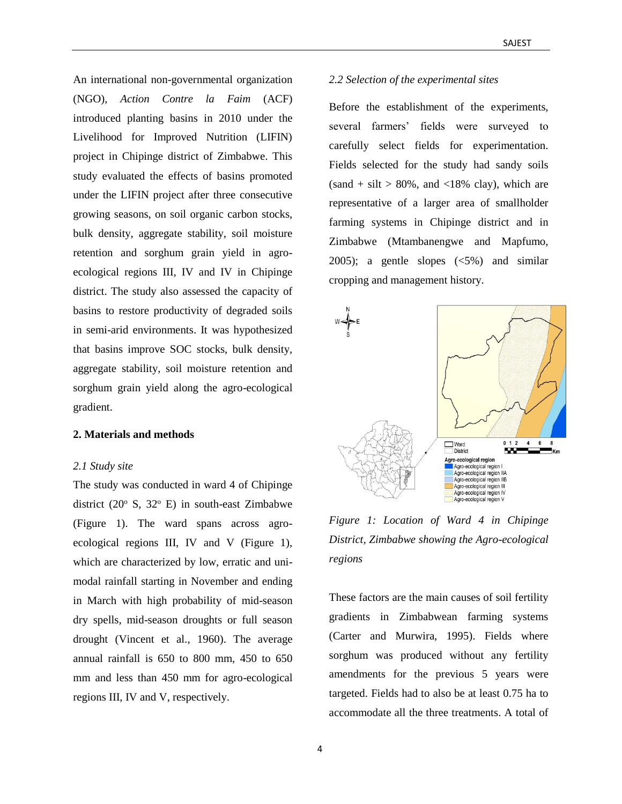An international non-governmental organization (NGO), *Action Contre la Faim* (ACF) introduced planting basins in 2010 under the Livelihood for Improved Nutrition (LIFIN) project in Chipinge district of Zimbabwe. This study evaluated the effects of basins promoted under the LIFIN project after three consecutive growing seasons, on soil organic carbon stocks, bulk density, aggregate stability, soil moisture retention and sorghum grain yield in agroecological regions III, IV and IV in Chipinge district. The study also assessed the capacity of basins to restore productivity of degraded soils in semi-arid environments. It was hypothesized that basins improve SOC stocks, bulk density, aggregate stability, soil moisture retention and sorghum grain yield along the agro-ecological gradient.

### **2. Materials and methods**

#### *2.1 Study site*

The study was conducted in ward 4 of Chipinge district (20 $\textdegree$  S, 32 $\textdegree$  E) in south-east Zimbabwe (Figure 1). The ward spans across agroecological regions III, IV and V (Figure 1), which are characterized by low, erratic and unimodal rainfall starting in November and ending in March with high probability of mid-season dry spells, mid-season droughts or full season drought (Vincent et al., 1960). The average annual rainfall is 650 to 800 mm, 450 to 650 mm and less than 450 mm for agro-ecological regions III, IV and V, respectively.

### *2.2 Selection of the experimental sites*

Before the establishment of the experiments, several farmers' fields were surveyed to carefully select fields for experimentation. Fields selected for the study had sandy soils  $(sand + silt > 80\%, and < 18\%$  clay), which are representative of a larger area of smallholder farming systems in Chipinge district and in Zimbabwe (Mtambanengwe and Mapfumo, 2005); a gentle slopes (<5%) and similar cropping and management history.



*Figure 1: Location of Ward 4 in Chipinge District, Zimbabwe showing the Agro-ecological regions*

These factors are the main causes of soil fertility gradients in Zimbabwean farming systems (Carter and Murwira, 1995). Fields where sorghum was produced without any fertility amendments for the previous 5 years were targeted. Fields had to also be at least 0.75 ha to accommodate all the three treatments. A total of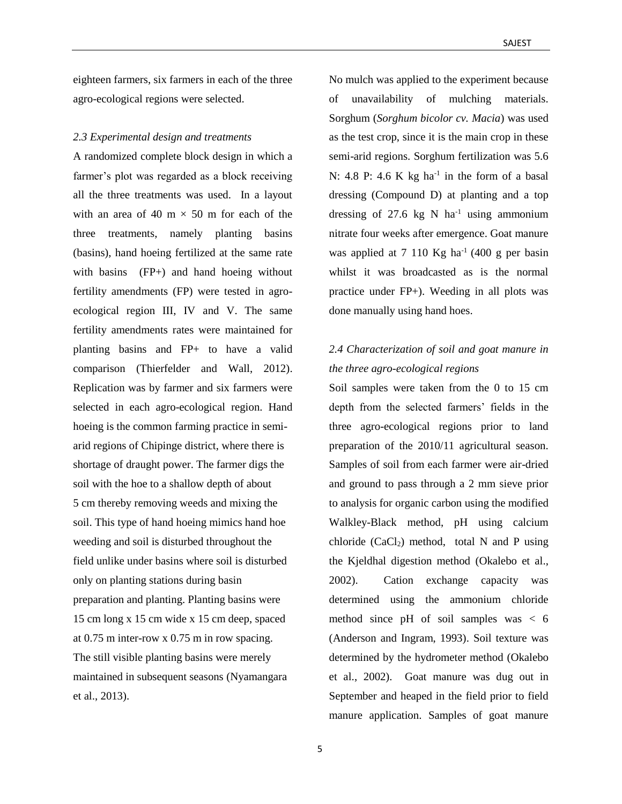eighteen farmers, six farmers in each of the three agro-ecological regions were selected.

#### *2.3 Experimental design and treatments*

A randomized complete block design in which a farmer's plot was regarded as a block receiving all the three treatments was used. In a layout with an area of 40 m  $\times$  50 m for each of the three treatments, namely planting basins (basins), hand hoeing fertilized at the same rate with basins (FP+) and hand hoeing without fertility amendments (FP) were tested in agroecological region III, IV and V. The same fertility amendments rates were maintained for planting basins and FP+ to have a valid comparison (Thierfelder and Wall, 2012). Replication was by farmer and six farmers were selected in each agro-ecological region. Hand hoeing is the common farming practice in semiarid regions of Chipinge district, where there is shortage of draught power. The farmer digs the soil with the hoe to a shallow depth of about 5 cm thereby removing weeds and mixing the soil. This type of hand hoeing mimics hand hoe weeding and soil is disturbed throughout the field unlike under basins where soil is disturbed only on planting stations during basin preparation and planting. Planting basins were 15 cm long x 15 cm wide x 15 cm deep, spaced at 0.75 m inter-row x 0.75 m in row spacing. The still visible planting basins were merely maintained in subsequent seasons (Nyamangara et al., 2013).

No mulch was applied to the experiment because of unavailability of mulching materials. Sorghum (*Sorghum bicolor cv. Macia*) was used as the test crop, since it is the main crop in these semi-arid regions. Sorghum fertilization was 5.6 N: 4.8 P: 4.6 K kg ha<sup>-1</sup> in the form of a basal dressing (Compound D) at planting and a top dressing of 27.6 kg N  $ha^{-1}$  using ammonium nitrate four weeks after emergence. Goat manure was applied at  $7 \ 110 \ \text{Kg} \ \text{ha}^{-1} \ (400 \ \text{g} \ \text{per} \ \text{basin} \ )$ whilst it was broadcasted as is the normal practice under FP+). Weeding in all plots was done manually using hand hoes.

# *2.4 Characterization of soil and goat manure in the three agro-ecological regions*

Soil samples were taken from the 0 to 15 cm depth from the selected farmers' fields in the three agro-ecological regions prior to land preparation of the 2010/11 agricultural season. Samples of soil from each farmer were air-dried and ground to pass through a 2 mm sieve prior to analysis for organic carbon using the modified Walkley-Black method, pH using calcium chloride  $(CaCl<sub>2</sub>)$  method, total N and P using the Kjeldhal digestion method (Okalebo et al., 2002). Cation exchange capacity was determined using the ammonium chloride method since pH of soil samples was < 6 (Anderson and Ingram, 1993). Soil texture was determined by the hydrometer method (Okalebo et al., 2002). Goat manure was dug out in September and heaped in the field prior to field manure application. Samples of goat manure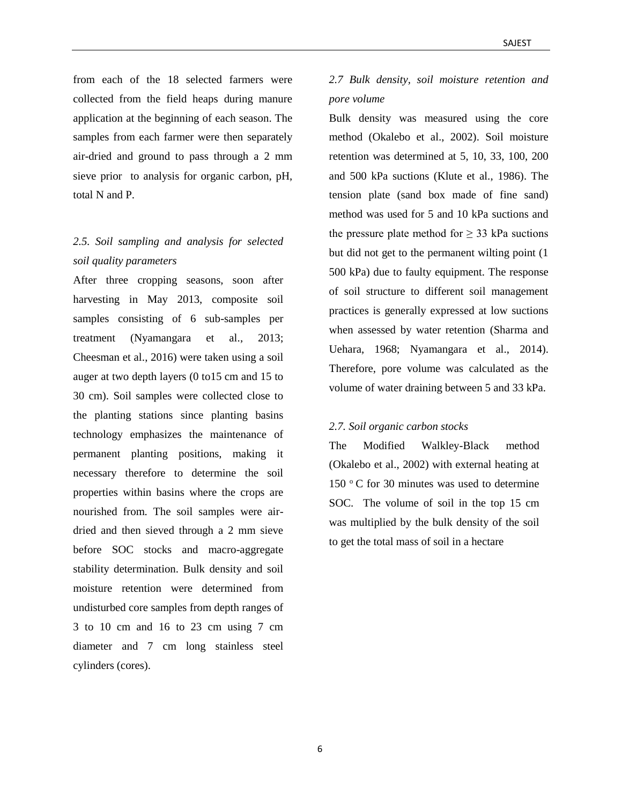from each of the 18 selected farmers were collected from the field heaps during manure application at the beginning of each season. The samples from each farmer were then separately air-dried and ground to pass through a 2 mm sieve prior to analysis for organic carbon, pH, total N and P.

# *2.5. Soil sampling and analysis for selected soil quality parameters*

After three cropping seasons, soon after harvesting in May 2013, composite soil samples consisting of 6 sub-samples per treatment (Nyamangara et al., 2013; Cheesman et al., 2016) were taken using a soil auger at two depth layers (0 to15 cm and 15 to 30 cm). Soil samples were collected close to the planting stations since planting basins technology emphasizes the maintenance of permanent planting positions, making it necessary therefore to determine the soil properties within basins where the crops are nourished from. The soil samples were airdried and then sieved through a 2 mm sieve before SOC stocks and macro-aggregate stability determination. Bulk density and soil moisture retention were determined from undisturbed core samples from depth ranges of 3 to 10 cm and 16 to 23 cm using 7 cm diameter and 7 cm long stainless steel cylinders (cores).

# *2.7 Bulk density, soil moisture retention and pore volume*

Bulk density was measured using the core method (Okalebo et al., 2002). Soil moisture retention was determined at 5, 10, 33, 100, 200 and 500 kPa suctions (Klute et al., 1986). The tension plate (sand box made of fine sand) method was used for 5 and 10 kPa suctions and the pressure plate method for  $\geq$  33 kPa suctions but did not get to the permanent wilting point (1 500 kPa) due to faulty equipment. The response of soil structure to different soil management practices is generally expressed at low suctions when assessed by water retention (Sharma and Uehara, 1968; Nyamangara et al., 2014). Therefore, pore volume was calculated as the volume of water draining between 5 and 33 kPa.

## *2.7. Soil organic carbon stocks*

The Modified Walkley-Black method (Okalebo et al., 2002) with external heating at 150 $\degree$ C for 30 minutes was used to determine SOC. The volume of soil in the top 15 cm was multiplied by the bulk density of the soil to get the total mass of soil in a hectare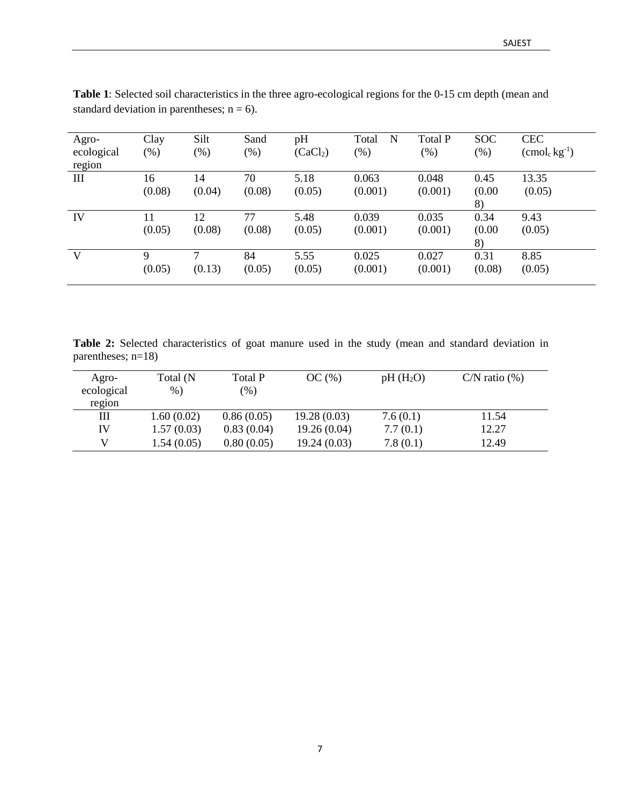| Agro-<br>ecological<br>region | Clay<br>(% ) | Silt<br>$(\%)$ | Sand<br>$(\%)$ | pH<br>(CaCl <sub>2</sub> ) | N<br>Total<br>$(\%)$ | Total P<br>$(\%)$ | <b>SOC</b><br>(% )   | <b>CEC</b><br>$(\text{cmol}_c \,\text{kg}^{-1})$ |
|-------------------------------|--------------|----------------|----------------|----------------------------|----------------------|-------------------|----------------------|--------------------------------------------------|
| Ш                             | 16<br>(0.08) | 14<br>(0.04)   | 70<br>(0.08)   | 5.18<br>(0.05)             | 0.063<br>(0.001)     | 0.048<br>(0.001)  | 0.45<br>(0.00)<br>8) | 13.35<br>(0.05)                                  |
| IV                            | 11<br>(0.05) | 12<br>(0.08)   | 77<br>(0.08)   | 5.48<br>(0.05)             | 0.039<br>(0.001)     | 0.035<br>(0.001)  | 0.34<br>(0.00)<br>8) | 9.43<br>(0.05)                                   |
| V                             | Q<br>(0.05)  | 7<br>(0.13)    | 84<br>(0.05)   | 5.55<br>(0.05)             | 0.025<br>(0.001)     | 0.027<br>(0.001)  | 0.31<br>(0.08)       | 8.85<br>(0.05)                                   |

**Table 1**: Selected soil characteristics in the three agro-ecological regions for the 0-15 cm depth (mean and standard deviation in parentheses;  $n = 6$ ).

**Table 2:** Selected characteristics of goat manure used in the study (mean and standard deviation in parentheses; n=18)

| Agro-<br>ecological<br>region | Total (N<br>$%$ ) | Total P<br>$\frac{9}{6}$ | OC(%)       | $pH(H_2O)$ | $C/N$ ratio $(\%)$ |
|-------------------------------|-------------------|--------------------------|-------------|------------|--------------------|
| Ш                             | 1.60(0.02)        | 0.86(0.05)               | 19.28(0.03) | 7.6(0.1)   | 11.54              |
| IV                            | 1.57(0.03)        | 0.83(0.04)               | 19.26(0.04) | 7.7(0.1)   | 12.27              |
| V                             | 1.54(0.05)        | 0.80(0.05)               | 19.24(0.03) | 7.8(0.1)   | 12.49              |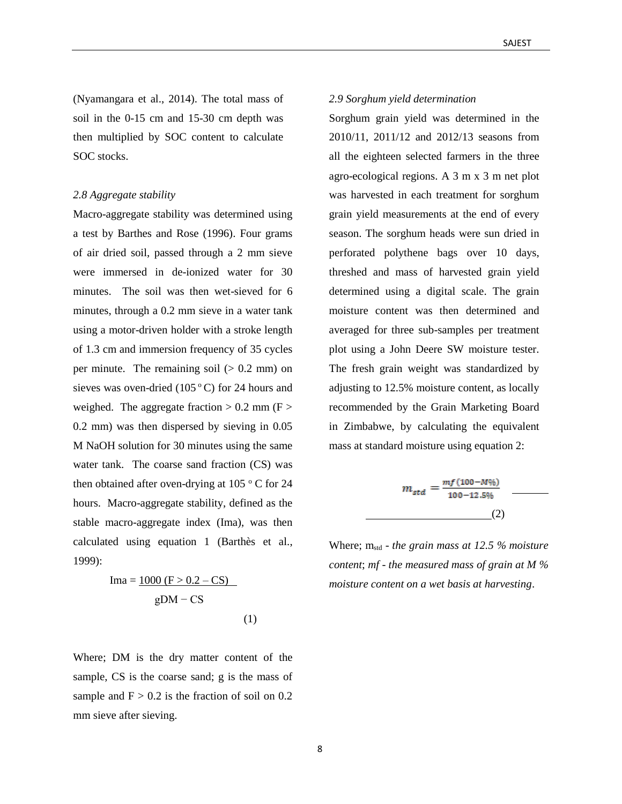(Nyamangara et al., 2014). The total mass of soil in the 0-15 cm and 15-30 cm depth was then multiplied by SOC content to calculate SOC stocks.

#### *2.8 Aggregate stability*

Macro-aggregate stability was determined using a test by Barthes and Rose (1996). Four grams of air dried soil, passed through a 2 mm sieve were immersed in de-ionized water for 30 minutes. The soil was then wet-sieved for 6 minutes, through a 0.2 mm sieve in a water tank using a motor-driven holder with a stroke length of 1.3 cm and immersion frequency of 35 cycles per minute. The remaining soil  $(> 0.2$  mm) on sieves was oven-dried  $(105\degree C)$  for 24 hours and weighed. The aggregate fraction  $> 0.2$  mm (F  $>$ 0.2 mm) was then dispersed by sieving in 0.05 M NaOH solution for 30 minutes using the same water tank. The coarse sand fraction (CS) was then obtained after oven-drying at  $105\degree$  C for 24 hours. Macro-aggregate stability, defined as the stable macro-aggregate index (Ima), was then calculated using equation 1 (Barthès et al., 1999):

$$
Ima = \frac{1000 (F > 0.2 - CS)}{gDM - CS}
$$
 (1)

Where; DM is the dry matter content of the sample, CS is the coarse sand; g is the mass of sample and  $F > 0.2$  is the fraction of soil on 0.2 mm sieve after sieving.

#### *2.9 Sorghum yield determination*

Sorghum grain yield was determined in the 2010/11, 2011/12 and 2012/13 seasons from all the eighteen selected farmers in the three agro-ecological regions. A 3 m x 3 m net plot was harvested in each treatment for sorghum grain yield measurements at the end of every season. The sorghum heads were sun dried in perforated polythene bags over 10 days, threshed and mass of harvested grain yield determined using a digital scale. The grain moisture content was then determined and averaged for three sub-samples per treatment plot using a John Deere SW moisture tester. The fresh grain weight was standardized by adjusting to 12.5% moisture content, as locally recommended by the Grain Marketing Board in Zimbabwe, by calculating the equivalent mass at standard moisture using equation 2:

$$
m_{std} = \frac{mf(100 - M\%)}{100 - 12.5\%}
$$
 (2)

Where; mstd - *the grain mass at 12.5 % moisture content*; *mf* - *the measured mass of grain at M % moisture content on a wet basis at harvesting*.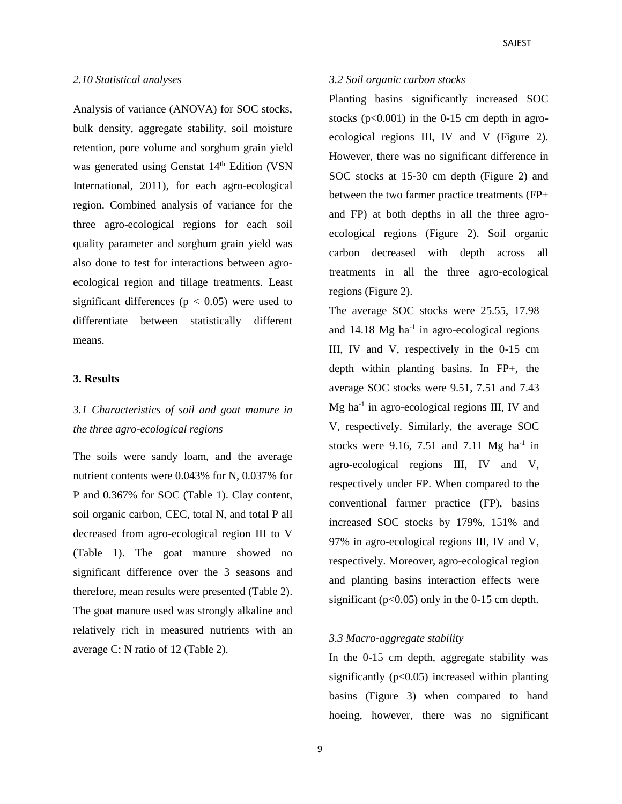#### *2.10 Statistical analyses*

Analysis of variance (ANOVA) for SOC stocks, bulk density, aggregate stability, soil moisture retention, pore volume and sorghum grain yield was generated using Genstat 14<sup>th</sup> Edition (VSN International, 2011), for each agro-ecological region. Combined analysis of variance for the three agro-ecological regions for each soil quality parameter and sorghum grain yield was also done to test for interactions between agroecological region and tillage treatments. Least significant differences ( $p < 0.05$ ) were used to differentiate between statistically different means.

#### **3. Results**

# *3.1 Characteristics of soil and goat manure in the three agro-ecological regions*

The soils were sandy loam, and the average nutrient contents were 0.043% for N, 0.037% for P and 0.367% for SOC (Table 1). Clay content, soil organic carbon, CEC, total N, and total P all decreased from agro-ecological region III to V (Table 1). The goat manure showed no significant difference over the 3 seasons and therefore, mean results were presented (Table 2). The goat manure used was strongly alkaline and relatively rich in measured nutrients with an average C: N ratio of 12 (Table 2).

#### *3.2 Soil organic carbon stocks*

Planting basins significantly increased SOC stocks  $(p<0.001)$  in the 0-15 cm depth in agroecological regions III, IV and V (Figure 2). However, there was no significant difference in SOC stocks at 15-30 cm depth (Figure 2) and between the two farmer practice treatments (FP+ and FP) at both depths in all the three agroecological regions (Figure 2). Soil organic carbon decreased with depth across all treatments in all the three agro-ecological regions (Figure 2).

The average SOC stocks were 25.55, 17.98 and 14.18 Mg ha<sup>-1</sup> in agro-ecological regions III, IV and V, respectively in the 0-15 cm depth within planting basins. In FP+, the average SOC stocks were 9.51, 7.51 and 7.43 Mg ha<sup>-1</sup> in agro-ecological regions III, IV and V, respectively. Similarly, the average SOC stocks were 9.16, 7.51 and 7.11 Mg  $ha^{-1}$  in agro-ecological regions III, IV and V, respectively under FP. When compared to the conventional farmer practice (FP), basins increased SOC stocks by 179%, 151% and 97% in agro-ecological regions III, IV and V, respectively. Moreover, agro-ecological region and planting basins interaction effects were significant ( $p<0.05$ ) only in the 0-15 cm depth.

### *3.3 Macro-aggregate stability*

In the 0-15 cm depth, aggregate stability was significantly  $(p<0.05)$  increased within planting basins (Figure 3) when compared to hand hoeing, however, there was no significant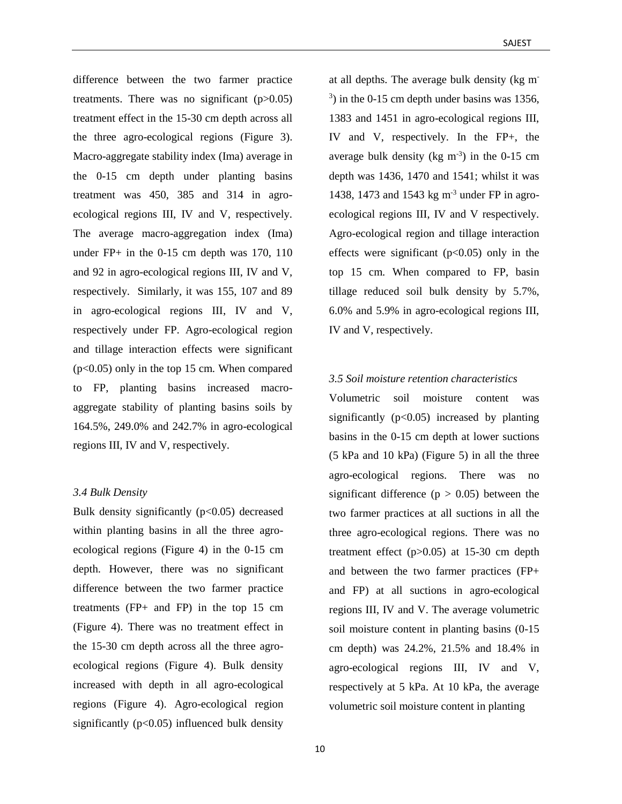difference between the two farmer practice treatments. There was no significant  $(p>0.05)$ treatment effect in the 15-30 cm depth across all the three agro-ecological regions (Figure 3). Macro-aggregate stability index (Ima) average in the 0-15 cm depth under planting basins treatment was 450, 385 and 314 in agroecological regions III, IV and V, respectively. The average macro-aggregation index (Ima) under FP+ in the 0-15 cm depth was 170, 110 and 92 in agro-ecological regions III, IV and V, respectively. Similarly, it was 155, 107 and 89 in agro-ecological regions III, IV and V, respectively under FP. Agro-ecological region and tillage interaction effects were significant (p<0.05) only in the top 15 cm. When compared to FP, planting basins increased macroaggregate stability of planting basins soils by 164.5%, 249.0% and 242.7% in agro-ecological regions III, IV and V, respectively.

#### *3.4 Bulk Density*

Bulk density significantly  $(p<0.05)$  decreased within planting basins in all the three agroecological regions (Figure 4) in the 0-15 cm depth. However, there was no significant difference between the two farmer practice treatments (FP+ and FP) in the top 15 cm (Figure 4). There was no treatment effect in the 15-30 cm depth across all the three agroecological regions (Figure 4). Bulk density increased with depth in all agro-ecological regions (Figure 4). Agro-ecological region significantly  $(p<0.05)$  influenced bulk density

at all depths. The average bulk density (kg m- $(3)$  in the 0-15 cm depth under basins was 1356, 1383 and 1451 in agro-ecological regions III, IV and V, respectively. In the FP+, the average bulk density ( $kg \text{ m}^{-3}$ ) in the 0-15 cm depth was 1436, 1470 and 1541; whilst it was 1438, 1473 and 1543 kg m-3 under FP in agroecological regions III, IV and V respectively. Agro-ecological region and tillage interaction effects were significant  $(p<0.05)$  only in the top 15 cm. When compared to FP, basin tillage reduced soil bulk density by 5.7%, 6.0% and 5.9% in agro-ecological regions III, IV and V, respectively.

# *3.5 Soil moisture retention characteristics*

Volumetric soil moisture content was significantly  $(p<0.05)$  increased by planting basins in the 0-15 cm depth at lower suctions (5 kPa and 10 kPa) (Figure 5) in all the three agro-ecological regions. There was no significant difference ( $p > 0.05$ ) between the two farmer practices at all suctions in all the three agro-ecological regions. There was no treatment effect  $(p>0.05)$  at 15-30 cm depth and between the two farmer practices (FP+ and FP) at all suctions in agro-ecological regions III, IV and V. The average volumetric soil moisture content in planting basins (0-15 cm depth) was 24.2%, 21.5% and 18.4% in agro-ecological regions III, IV and V, respectively at 5 kPa. At 10 kPa, the average volumetric soil moisture content in planting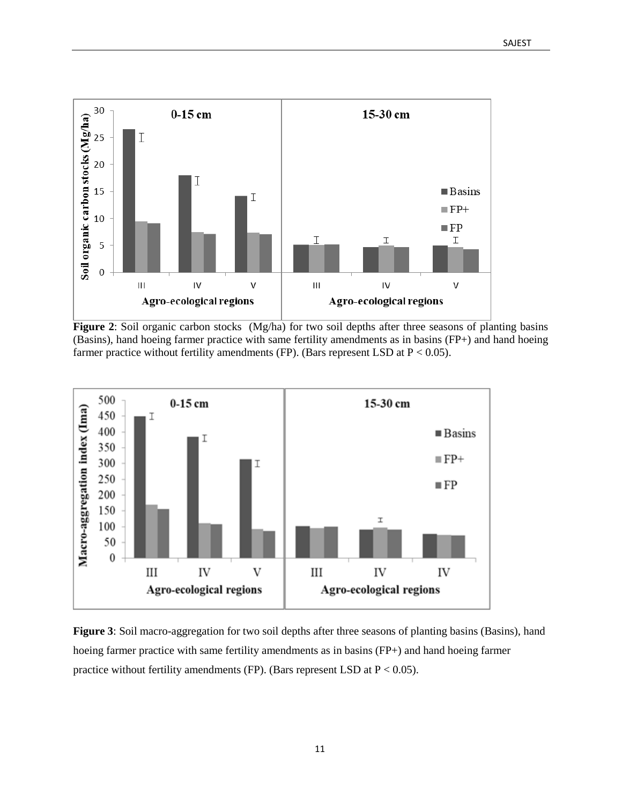

**Figure 2**: Soil organic carbon stocks (Mg/ha) for two soil depths after three seasons of planting basins (Basins), hand hoeing farmer practice with same fertility amendments as in basins (FP+) and hand hoeing farmer practice without fertility amendments (FP). (Bars represent LSD at  $P < 0.05$ ).



**Figure 3**: Soil macro-aggregation for two soil depths after three seasons of planting basins (Basins), hand hoeing farmer practice with same fertility amendments as in basins (FP+) and hand hoeing farmer practice without fertility amendments (FP). (Bars represent LSD at  $P < 0.05$ ).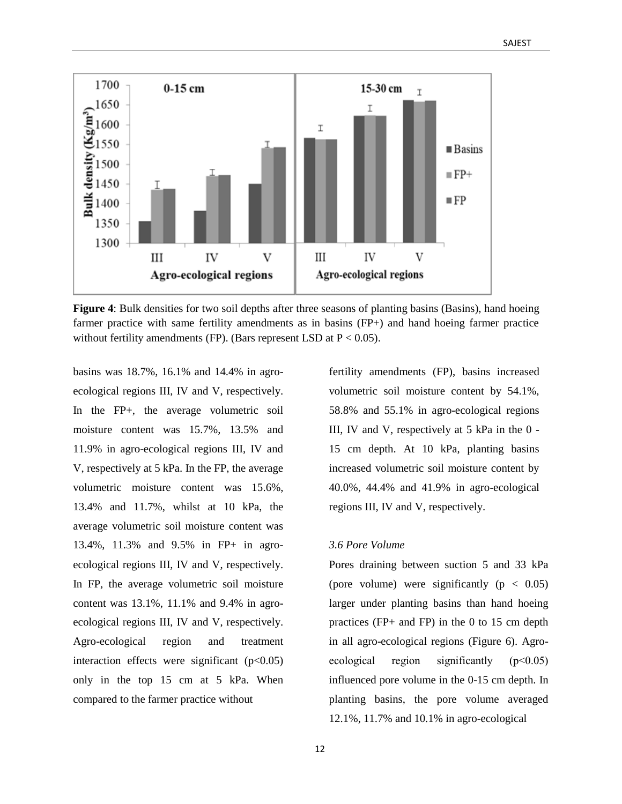

**Figure 4**: Bulk densities for two soil depths after three seasons of planting basins (Basins), hand hoeing farmer practice with same fertility amendments as in basins (FP+) and hand hoeing farmer practice without fertility amendments (FP). (Bars represent LSD at  $P < 0.05$ ).

basins was 18.7%, 16.1% and 14.4% in agroecological regions III, IV and V, respectively. In the FP+, the average volumetric soil moisture content was 15.7%, 13.5% and 11.9% in agro-ecological regions III, IV and V, respectively at 5 kPa. In the FP, the average volumetric moisture content was 15.6%, 13.4% and 11.7%, whilst at 10 kPa, the average volumetric soil moisture content was 13.4%, 11.3% and 9.5% in FP+ in agroecological regions III, IV and V, respectively. In FP, the average volumetric soil moisture content was 13.1%, 11.1% and 9.4% in agroecological regions III, IV and V, respectively. Agro-ecological region and treatment interaction effects were significant  $(p<0.05)$ only in the top 15 cm at 5 kPa. When compared to the farmer practice without

fertility amendments (FP), basins increased volumetric soil moisture content by 54.1%, 58.8% and 55.1% in agro-ecological regions III, IV and V, respectively at 5 kPa in the 0 - 15 cm depth. At 10 kPa, planting basins increased volumetric soil moisture content by 40.0%, 44.4% and 41.9% in agro-ecological regions III, IV and V, respectively.

#### *3.6 Pore Volume*

Pores draining between suction 5 and 33 kPa (pore volume) were significantly  $(p < 0.05)$ larger under planting basins than hand hoeing practices (FP+ and FP) in the 0 to 15 cm depth in all agro-ecological regions (Figure 6). Agroecological region significantly (p˂0.05) influenced pore volume in the 0-15 cm depth. In planting basins, the pore volume averaged 12.1%, 11.7% and 10.1% in agro-ecological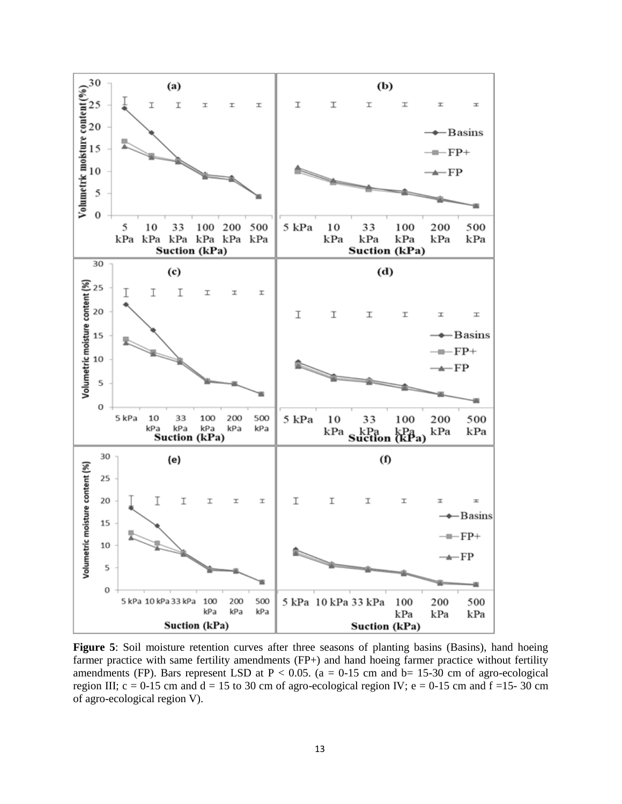

**Figure 5**: Soil moisture retention curves after three seasons of planting basins (Basins), hand hoeing farmer practice with same fertility amendments (FP+) and hand hoeing farmer practice without fertility amendments (FP). Bars represent LSD at  $P < 0.05$ . (a = 0-15 cm and b= 15-30 cm of agro-ecological region III;  $c = 0-15$  cm and  $d = 15$  to 30 cm of agro-ecological region IV;  $e = 0-15$  cm and  $f = 15-30$  cm of agro-ecological region V).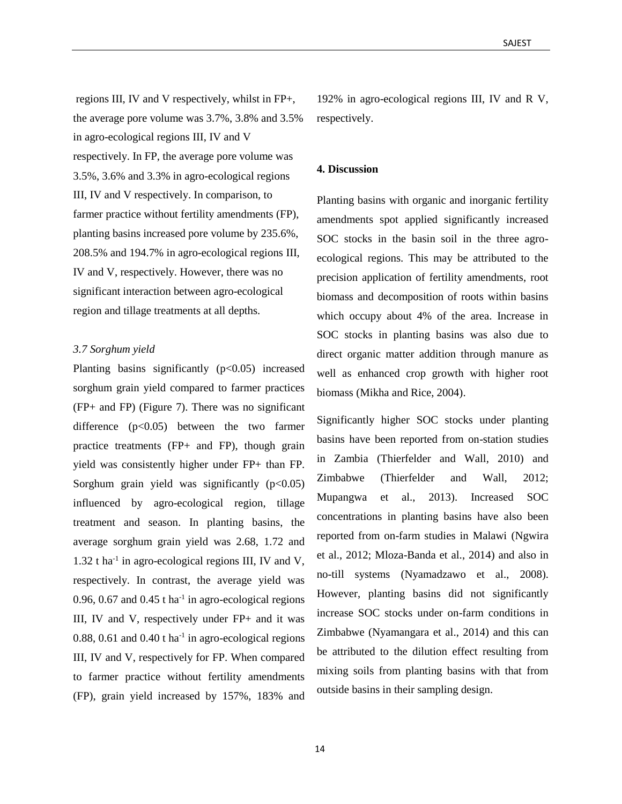regions III, IV and V respectively, whilst in FP+, the average pore volume was 3.7%, 3.8% and 3.5% in agro-ecological regions III, IV and V respectively. In FP, the average pore volume was 3.5%, 3.6% and 3.3% in agro-ecological regions III, IV and V respectively. In comparison, to farmer practice without fertility amendments (FP), planting basins increased pore volume by 235.6%, 208.5% and 194.7% in agro-ecological regions III, IV and V, respectively. However, there was no significant interaction between agro-ecological region and tillage treatments at all depths.

#### *3.7 Sorghum yield*

Planting basins significantly  $(p<0.05)$  increased sorghum grain yield compared to farmer practices (FP+ and FP) (Figure 7). There was no significant difference (p<0.05) between the two farmer practice treatments (FP+ and FP), though grain yield was consistently higher under FP+ than FP. Sorghum grain yield was significantly  $(p<0.05)$ influenced by agro-ecological region, tillage treatment and season. In planting basins, the average sorghum grain yield was 2.68, 1.72 and  $1.32$  t ha<sup>-1</sup> in agro-ecological regions III, IV and V, respectively. In contrast, the average yield was 0.96, 0.67 and  $0.45$  t ha<sup>-1</sup> in agro-ecological regions III, IV and V, respectively under FP+ and it was  $0.88$ ,  $0.61$  and  $0.40$  t ha<sup>-1</sup> in agro-ecological regions III, IV and V, respectively for FP. When compared to farmer practice without fertility amendments (FP), grain yield increased by 157%, 183% and

192% in agro-ecological regions III, IV and R V, respectively.

#### **4. Discussion**

Planting basins with organic and inorganic fertility amendments spot applied significantly increased SOC stocks in the basin soil in the three agroecological regions. This may be attributed to the precision application of fertility amendments, root biomass and decomposition of roots within basins which occupy about 4% of the area. Increase in SOC stocks in planting basins was also due to direct organic matter addition through manure as well as enhanced crop growth with higher root biomass (Mikha and Rice, 2004).

Significantly higher SOC stocks under planting basins have been reported from on-station studies in Zambia (Thierfelder and Wall, 2010) and Zimbabwe (Thierfelder and Wall, 2012; Mupangwa et al., 2013). Increased SOC concentrations in planting basins have also been reported from on-farm studies in Malawi (Ngwira et al., 2012; Mloza-Banda et al., 2014) and also in no-till systems (Nyamadzawo et al., 2008). However, planting basins did not significantly increase SOC stocks under on-farm conditions in Zimbabwe (Nyamangara et al., 2014) and this can be attributed to the dilution effect resulting from mixing soils from planting basins with that from outside basins in their sampling design.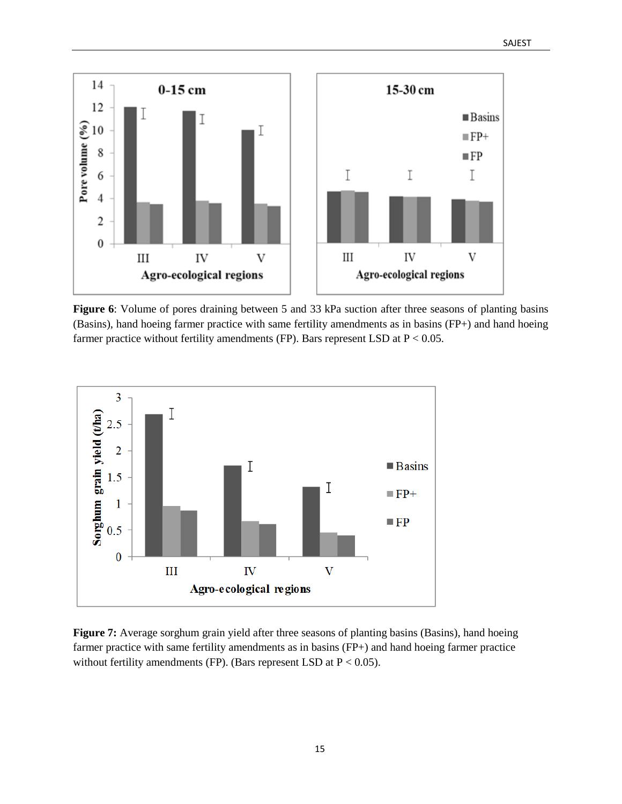

**Figure 6**: Volume of pores draining between 5 and 33 kPa suction after three seasons of planting basins (Basins), hand hoeing farmer practice with same fertility amendments as in basins (FP+) and hand hoeing farmer practice without fertility amendments (FP). Bars represent LSD at  $P < 0.05$ .



**Figure 7:** Average sorghum grain yield after three seasons of planting basins (Basins), hand hoeing farmer practice with same fertility amendments as in basins (FP+) and hand hoeing farmer practice without fertility amendments (FP). (Bars represent LSD at  $P < 0.05$ ).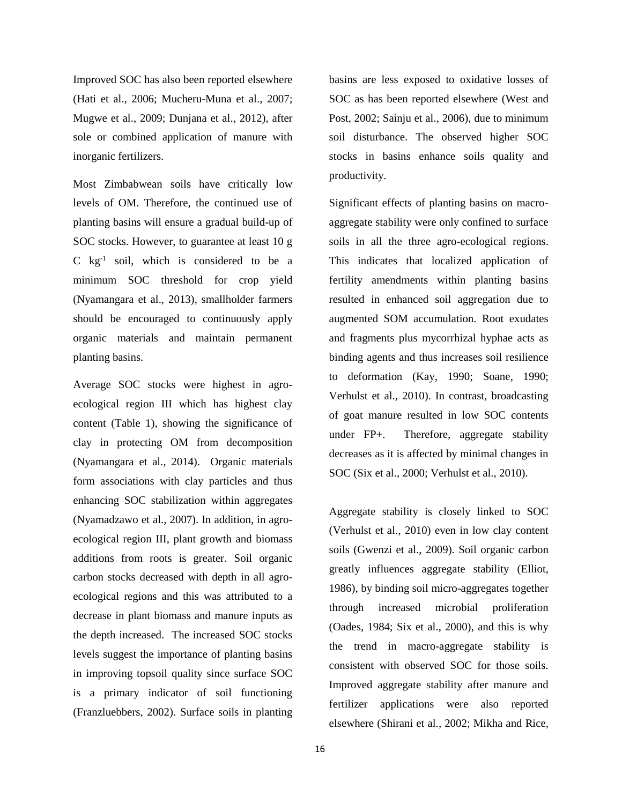Improved SOC has also been reported elsewhere (Hati et al., 2006; Mucheru-Muna et al., 2007; Mugwe et al., 2009; Dunjana et al., 2012), after sole or combined application of manure with inorganic fertilizers.

Most Zimbabwean soils have critically low levels of OM. Therefore, the continued use of planting basins will ensure a gradual build-up of SOC stocks. However, to guarantee at least 10 g C kg-1 soil, which is considered to be a minimum SOC threshold for crop yield (Nyamangara et al., 2013), smallholder farmers should be encouraged to continuously apply organic materials and maintain permanent planting basins.

Average SOC stocks were highest in agroecological region III which has highest clay content (Table 1), showing the significance of clay in protecting OM from decomposition (Nyamangara et al., 2014). Organic materials form associations with clay particles and thus enhancing SOC stabilization within aggregates (Nyamadzawo et al., 2007). In addition, in agroecological region III, plant growth and biomass additions from roots is greater. Soil organic carbon stocks decreased with depth in all agroecological regions and this was attributed to a decrease in plant biomass and manure inputs as the depth increased. The increased SOC stocks levels suggest the importance of planting basins in improving topsoil quality since surface SOC is a primary indicator of soil functioning (Franzluebbers, 2002). Surface soils in planting

basins are less exposed to oxidative losses of SOC as has been reported elsewhere (West and Post, 2002; Sainju et al., 2006), due to minimum soil disturbance. The observed higher SOC stocks in basins enhance soils quality and productivity.

Significant effects of planting basins on macroaggregate stability were only confined to surface soils in all the three agro-ecological regions. This indicates that localized application of fertility amendments within planting basins resulted in enhanced soil aggregation due to augmented SOM accumulation. Root exudates and fragments plus mycorrhizal hyphae acts as binding agents and thus increases soil resilience to deformation (Kay, 1990; Soane, 1990; Verhulst et al., 2010). In contrast, broadcasting of goat manure resulted in low SOC contents under FP+. Therefore, aggregate stability decreases as it is affected by minimal changes in SOC (Six et al., 2000; Verhulst et al., 2010).

Aggregate stability is closely linked to SOC (Verhulst et al., 2010) even in low clay content soils (Gwenzi et al., 2009). Soil organic carbon greatly influences aggregate stability (Elliot, 1986), by binding soil micro-aggregates together through increased microbial proliferation (Oades, 1984; Six et al., 2000), and this is why the trend in macro-aggregate stability is consistent with observed SOC for those soils. Improved aggregate stability after manure and fertilizer applications were also reported elsewhere (Shirani et al., 2002; Mikha and Rice,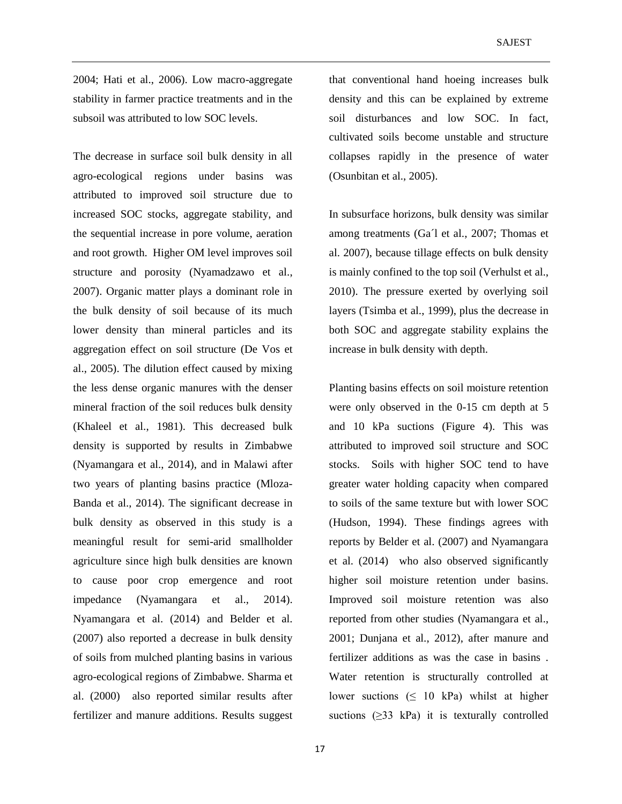2004; Hati et al., 2006). Low macro-aggregate stability in farmer practice treatments and in the subsoil was attributed to low SOC levels.

The decrease in surface soil bulk density in all agro-ecological regions under basins was attributed to improved soil structure due to increased SOC stocks, aggregate stability, and the sequential increase in pore volume, aeration and root growth. Higher OM level improves soil structure and porosity (Nyamadzawo et al., 2007). Organic matter plays a dominant role in the bulk density of soil because of its much lower density than mineral particles and its aggregation effect on soil structure (De Vos et al., 2005). The dilution effect caused by mixing the less dense organic manures with the denser mineral fraction of the soil reduces bulk density (Khaleel et al., 1981). This decreased bulk density is supported by results in Zimbabwe (Nyamangara et al., 2014), and in Malawi after two years of planting basins practice (Mloza-Banda et al., 2014). The significant decrease in bulk density as observed in this study is a meaningful result for semi-arid smallholder agriculture since high bulk densities are known to cause poor crop emergence and root impedance (Nyamangara et al., 2014). Nyamangara et al. (2014) and Belder et al. (2007) also reported a decrease in bulk density of soils from mulched planting basins in various agro-ecological regions of Zimbabwe. Sharma et al. (2000) also reported similar results after fertilizer and manure additions. Results suggest

that conventional hand hoeing increases bulk density and this can be explained by extreme soil disturbances and low SOC. In fact, cultivated soils become unstable and structure collapses rapidly in the presence of water (Osunbitan et al., 2005).

In subsurface horizons, bulk density was similar among treatments (Ga´l et al., 2007; Thomas et al. 2007), because tillage effects on bulk density is mainly confined to the top soil (Verhulst et al., 2010). The pressure exerted by overlying soil layers (Tsimba et al., 1999), plus the decrease in both SOC and aggregate stability explains the increase in bulk density with depth.

Planting basins effects on soil moisture retention were only observed in the 0-15 cm depth at 5 and 10 kPa suctions (Figure 4). This was attributed to improved soil structure and SOC stocks. Soils with higher SOC tend to have greater water holding capacity when compared to soils of the same texture but with lower SOC (Hudson, 1994). These findings agrees with reports by Belder et al. (2007) and Nyamangara et al. (2014) who also observed significantly higher soil moisture retention under basins. Improved soil moisture retention was also reported from other studies (Nyamangara et al., 2001; Dunjana et al., 2012), after manure and fertilizer additions as was the case in basins . Water retention is structurally controlled at lower suctions  $( \leq 10 \text{ kPa})$  whilst at higher suctions  $(\geq 33 \text{ kPa})$  it is texturally controlled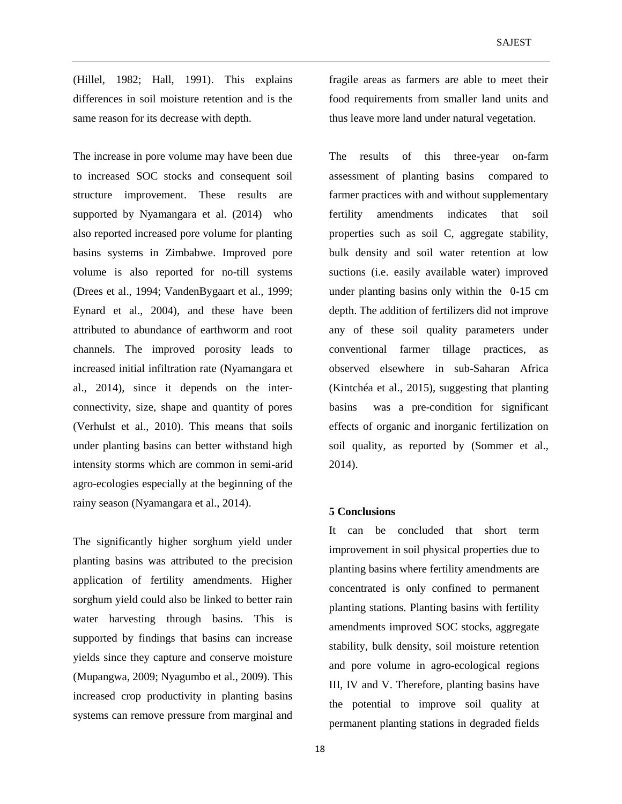(Hillel, 1982; Hall, 1991). This explains differences in soil moisture retention and is the same reason for its decrease with depth.

The increase in pore volume may have been due to increased SOC stocks and consequent soil structure improvement. These results are supported by Nyamangara et al. (2014) who also reported increased pore volume for planting basins systems in Zimbabwe. Improved pore volume is also reported for no-till systems (Drees et al., 1994; VandenBygaart et al., 1999; Eynard et al., 2004), and these have been attributed to abundance of earthworm and root channels. The improved porosity leads to increased initial infiltration rate (Nyamangara et al., 2014), since it depends on the interconnectivity, size, shape and quantity of pores (Verhulst et al., 2010). This means that soils under planting basins can better withstand high intensity storms which are common in semi-arid agro-ecologies especially at the beginning of the rainy season (Nyamangara et al., 2014).

The significantly higher sorghum yield under planting basins was attributed to the precision application of fertility amendments. Higher sorghum yield could also be linked to better rain water harvesting through basins. This is supported by findings that basins can increase yields since they capture and conserve moisture (Mupangwa, 2009; Nyagumbo et al., 2009). This increased crop productivity in planting basins systems can remove pressure from marginal and fragile areas as farmers are able to meet their food requirements from smaller land units and thus leave more land under natural vegetation.

The results of this three-year on-farm assessment of planting basins compared to farmer practices with and without supplementary fertility amendments indicates that soil properties such as soil C, aggregate stability, bulk density and soil water retention at low suctions (i.e. easily available water) improved under planting basins only within the 0-15 cm depth. The addition of fertilizers did not improve any of these soil quality parameters under conventional farmer tillage practices, as observed elsewhere in sub-Saharan Africa (Kintchéa et al., 2015), suggesting that planting basins was a pre-condition for significant effects of organic and inorganic fertilization on soil quality, as reported by (Sommer et al., 2014).

#### **5 Conclusions**

It can be concluded that short term improvement in soil physical properties due to planting basins where fertility amendments are concentrated is only confined to permanent planting stations. Planting basins with fertility amendments improved SOC stocks, aggregate stability, bulk density, soil moisture retention and pore volume in agro-ecological regions III, IV and V. Therefore, planting basins have the potential to improve soil quality at permanent planting stations in degraded fields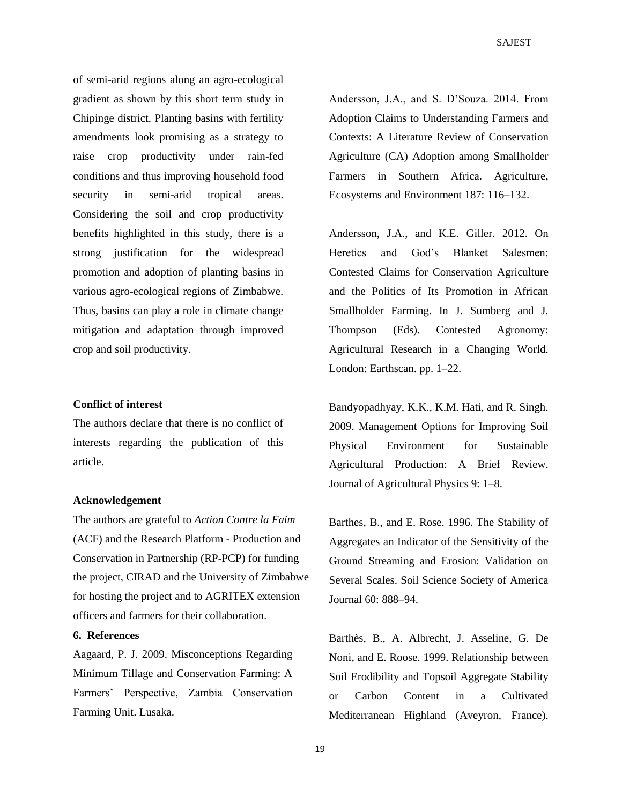of semi-arid regions along an agro-ecological gradient as shown by this short term study in Chipinge district. Planting basins with fertility amendments look promising as a strategy to raise crop productivity under rain-fed conditions and thus improving household food security in semi-arid tropical areas. Considering the soil and crop productivity benefits highlighted in this study, there is a strong justification for the widespread promotion and adoption of planting basins in various agro-ecological regions of Zimbabwe. Thus, basins can play a role in climate change mitigation and adaptation through improved crop and soil productivity.

#### **Conflict of interest**

The authors declare that there is no conflict of interests regarding the publication of this article.

#### **Acknowledgement**

The authors are grateful to *Action Contre la Faim* (ACF) and the Research Platform - Production and Conservation in Partnership (RP-PCP) for funding the project, CIRAD and the University of Zimbabwe for hosting the project and to AGRITEX extension officers and farmers for their collaboration.

### **6. References**

Aagaard, P. J. 2009. Misconceptions Regarding Minimum Tillage and Conservation Farming: A Farmers' Perspective, Zambia Conservation Farming Unit. Lusaka.

Andersson, J.A., and S. D'Souza. 2014. From Adoption Claims to Understanding Farmers and Contexts: A Literature Review of Conservation Agriculture (CA) Adoption among Smallholder Farmers in Southern Africa. Agriculture, Ecosystems and Environment 187: 116–132.

Andersson, J.A., and K.E. Giller. 2012. On Heretics and God's Blanket Salesmen: Contested Claims for Conservation Agriculture and the Politics of Its Promotion in African Smallholder Farming. In J. Sumberg and J. Thompson (Eds). Contested Agronomy: Agricultural Research in a Changing World. London: Earthscan. pp. 1–22.

Bandyopadhyay, K.K., K.M. Hati, and R. Singh. 2009. Management Options for Improving Soil Physical Environment for Sustainable Agricultural Production: A Brief Review. Journal of Agricultural Physics 9: 1–8.

Barthes, B., and E. Rose. 1996. The Stability of Aggregates an Indicator of the Sensitivity of the Ground Streaming and Erosion: Validation on Several Scales. Soil Science Society of America Journal 60: 888–94.

Barthès, B., A. Albrecht, J. Asseline, G. De Noni, and E. Roose. 1999. Relationship between Soil Erodibility and Topsoil Aggregate Stability or Carbon Content in a Cultivated Mediterranean Highland (Aveyron, France).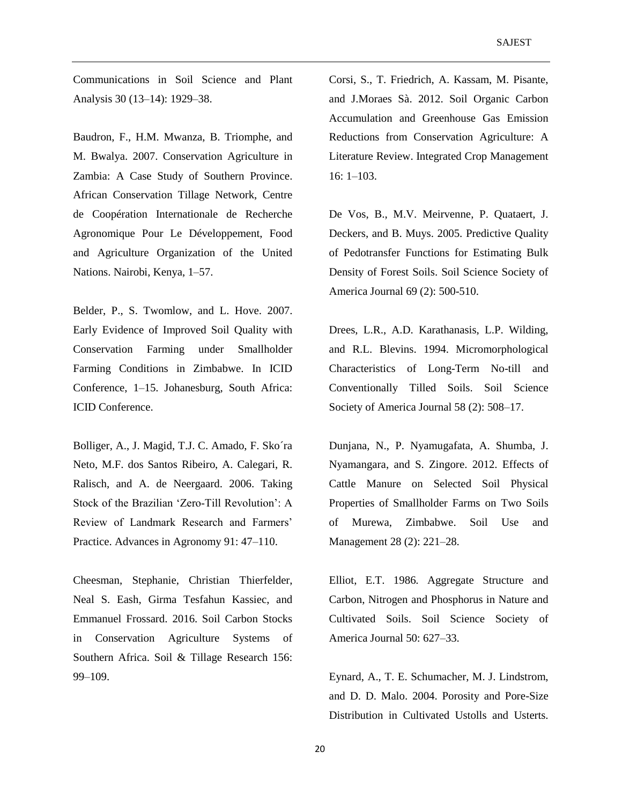Communications in Soil Science and Plant Analysis 30 (13–14): 1929–38.

Baudron, F., H.M. Mwanza, B. Triomphe, and M. Bwalya. 2007. Conservation Agriculture in Zambia: A Case Study of Southern Province. African Conservation Tillage Network, Centre de Coopération Internationale de Recherche Agronomique Pour Le Développement, Food and Agriculture Organization of the United Nations. Nairobi, Kenya, 1–57.

Belder, P., S. Twomlow, and L. Hove. 2007. Early Evidence of Improved Soil Quality with Conservation Farming under Smallholder Farming Conditions in Zimbabwe. In ICID Conference, 1–15. Johanesburg, South Africa: ICID Conference.

Bolliger, A., J. Magid, T.J. C. Amado, F. Sko´ra Neto, M.F. dos Santos Ribeiro, A. Calegari, R. Ralisch, and A. de Neergaard. 2006. Taking Stock of the Brazilian 'Zero‐Till Revolution': A Review of Landmark Research and Farmers' Practice. Advances in Agronomy 91: 47–110.

Cheesman, Stephanie, Christian Thierfelder, Neal S. Eash, Girma Tesfahun Kassiec, and Emmanuel Frossard. 2016. Soil Carbon Stocks in Conservation Agriculture Systems of Southern Africa. Soil & Tillage Research 156: 99–109.

Corsi, S., T. Friedrich, A. Kassam, M. Pisante, and J.Moraes Sà. 2012. Soil Organic Carbon Accumulation and Greenhouse Gas Emission Reductions from Conservation Agriculture: A Literature Review. Integrated Crop Management 16: 1–103.

De Vos, B., M.V. Meirvenne, P. Quataert, J. Deckers, and B. Muys. 2005. Predictive Quality of Pedotransfer Functions for Estimating Bulk Density of Forest Soils. Soil Science Society of America Journal 69 (2): 500-510.

Drees, L.R., A.D. Karathanasis, L.P. Wilding, and R.L. Blevins. 1994. Micromorphological Characteristics of Long-Term No-till and Conventionally Tilled Soils. Soil Science Society of America Journal 58 (2): 508–17.

Dunjana, N., P. Nyamugafata, A. Shumba, J. Nyamangara, and S. Zingore. 2012. Effects of Cattle Manure on Selected Soil Physical Properties of Smallholder Farms on Two Soils of Murewa, Zimbabwe. Soil Use and Management 28 (2): 221–28.

Elliot, E.T. 1986. Aggregate Structure and Carbon, Nitrogen and Phosphorus in Nature and Cultivated Soils. Soil Science Society of America Journal 50: 627–33.

Eynard, A., T. E. Schumacher, M. J. Lindstrom, and D. D. Malo. 2004. Porosity and Pore-Size Distribution in Cultivated Ustolls and Usterts.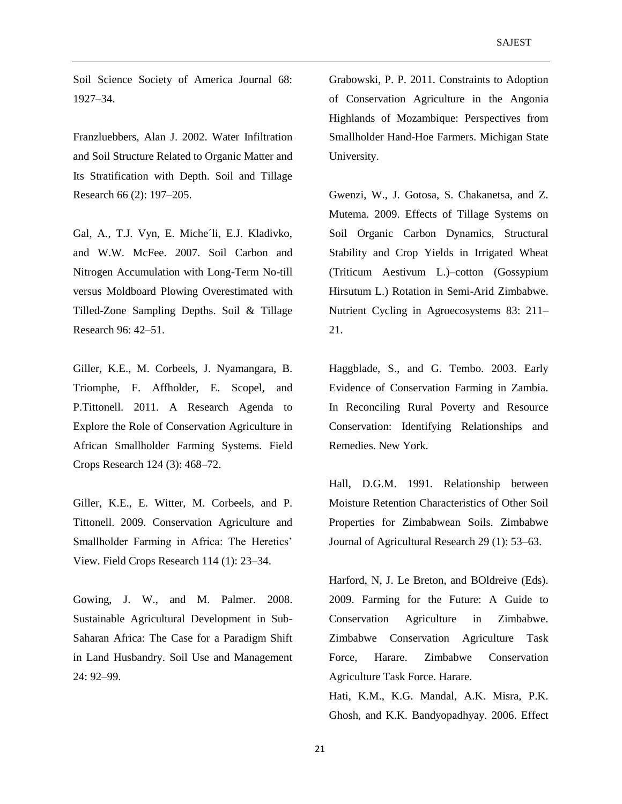Soil Science Society of America Journal 68: 1927–34.

Franzluebbers, Alan J. 2002. Water Infiltration and Soil Structure Related to Organic Matter and Its Stratification with Depth. Soil and Tillage Research 66 (2): 197–205.

Gal, A., T.J. Vyn, E. Miche'li, E.J. Kladivko, and W.W. McFee. 2007. Soil Carbon and Nitrogen Accumulation with Long-Term No-till versus Moldboard Plowing Overestimated with Tilled-Zone Sampling Depths. Soil & Tillage Research 96: 42–51.

Giller, K.E., M. Corbeels, J. Nyamangara, B. Triomphe, F. Affholder, E. Scopel, and P.Tittonell. 2011. A Research Agenda to Explore the Role of Conservation Agriculture in African Smallholder Farming Systems. Field Crops Research 124 (3): 468–72.

Giller, K.E., E. Witter, M. Corbeels, and P. Tittonell. 2009. Conservation Agriculture and Smallholder Farming in Africa: The Heretics' View. Field Crops Research 114 (1): 23–34.

Gowing, J. W., and M. Palmer. 2008. Sustainable Agricultural Development in Sub-Saharan Africa: The Case for a Paradigm Shift in Land Husbandry. Soil Use and Management 24: 92–99.

Grabowski, P. P. 2011. Constraints to Adoption of Conservation Agriculture in the Angonia Highlands of Mozambique: Perspectives from Smallholder Hand-Hoe Farmers. Michigan State University.

Gwenzi, W., J. Gotosa, S. Chakanetsa, and Z. Mutema. 2009. Effects of Tillage Systems on Soil Organic Carbon Dynamics, Structural Stability and Crop Yields in Irrigated Wheat (Triticum Aestivum L.)–cotton (Gossypium Hirsutum L.) Rotation in Semi-Arid Zimbabwe. Nutrient Cycling in Agroecosystems 83: 211– 21.

Haggblade, S., and G. Tembo. 2003. Early Evidence of Conservation Farming in Zambia. In Reconciling Rural Poverty and Resource Conservation: Identifying Relationships and Remedies. New York.

Hall, D.G.M. 1991. Relationship between Moisture Retention Characteristics of Other Soil Properties for Zimbabwean Soils. Zimbabwe Journal of Agricultural Research 29 (1): 53–63.

Harford, N, J. Le Breton, and BOldreive (Eds). 2009. Farming for the Future: A Guide to Conservation Agriculture in Zimbabwe. Zimbabwe Conservation Agriculture Task Force, Harare. Zimbabwe Conservation Agriculture Task Force. Harare.

Hati, K.M., K.G. Mandal, A.K. Misra, P.K. Ghosh, and K.K. Bandyopadhyay. 2006. Effect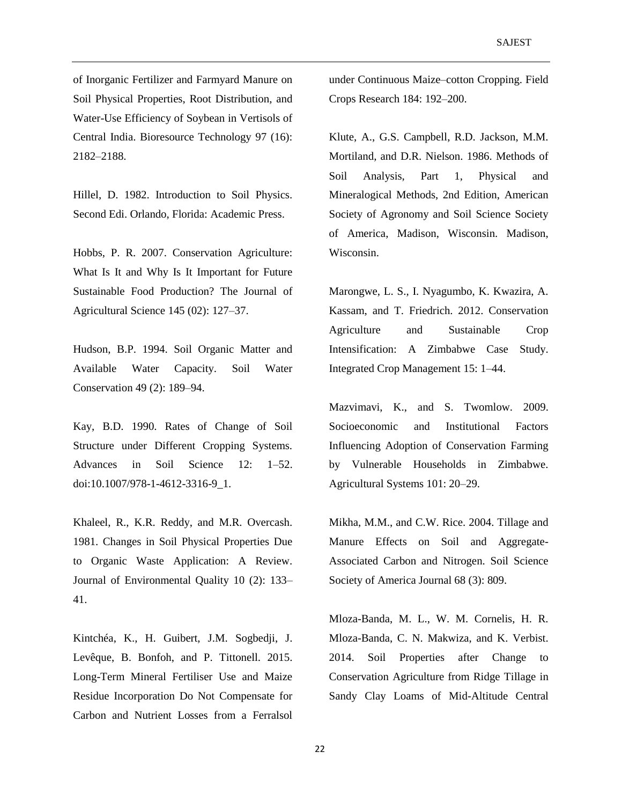of Inorganic Fertilizer and Farmyard Manure on Soil Physical Properties, Root Distribution, and Water-Use Efficiency of Soybean in Vertisols of Central India. Bioresource Technology 97 (16): 2182–2188.

Hillel, D. 1982. Introduction to Soil Physics. Second Edi. Orlando, Florida: Academic Press.

Hobbs, P. R. 2007. Conservation Agriculture: What Is It and Why Is It Important for Future Sustainable Food Production? The Journal of Agricultural Science 145 (02): 127–37.

Hudson, B.P. 1994. Soil Organic Matter and Available Water Capacity. Soil Water Conservation 49 (2): 189–94.

Kay, B.D. 1990. Rates of Change of Soil Structure under Different Cropping Systems. Advances in Soil Science 12: 1–52. doi:10.1007/978-1-4612-3316-9\_1.

Khaleel, R., K.R. Reddy, and M.R. Overcash. 1981. Changes in Soil Physical Properties Due to Organic Waste Application: A Review. Journal of Environmental Quality 10 (2): 133– 41.

Kintchéa, K., H. Guibert, J.M. Sogbedji, J. Levêque, B. Bonfoh, and P. Tittonell. 2015. Long-Term Mineral Fertiliser Use and Maize Residue Incorporation Do Not Compensate for Carbon and Nutrient Losses from a Ferralsol

under Continuous Maize–cotton Cropping. Field Crops Research 184: 192–200.

Klute, A., G.S. Campbell, R.D. Jackson, M.M. Mortiland, and D.R. Nielson. 1986. Methods of Soil Analysis, Part 1, Physical and Mineralogical Methods, 2nd Edition, American Society of Agronomy and Soil Science Society of America, Madison, Wisconsin. Madison, Wisconsin.

Marongwe, L. S., I. Nyagumbo, K. Kwazira, A. Kassam, and T. Friedrich. 2012. Conservation Agriculture and Sustainable Crop Intensification: A Zimbabwe Case Study. Integrated Crop Management 15: 1–44.

Mazvimavi, K., and S. Twomlow. 2009. Socioeconomic and Institutional Factors Influencing Adoption of Conservation Farming by Vulnerable Households in Zimbabwe. Agricultural Systems 101: 20–29.

Mikha, M.M., and C.W. Rice. 2004. Tillage and Manure Effects on Soil and Aggregate-Associated Carbon and Nitrogen. Soil Science Society of America Journal 68 (3): 809.

Mloza-Banda, M. L., W. M. Cornelis, H. R. Mloza-Banda, C. N. Makwiza, and K. Verbist. 2014. Soil Properties after Change to Conservation Agriculture from Ridge Tillage in Sandy Clay Loams of Mid-Altitude Central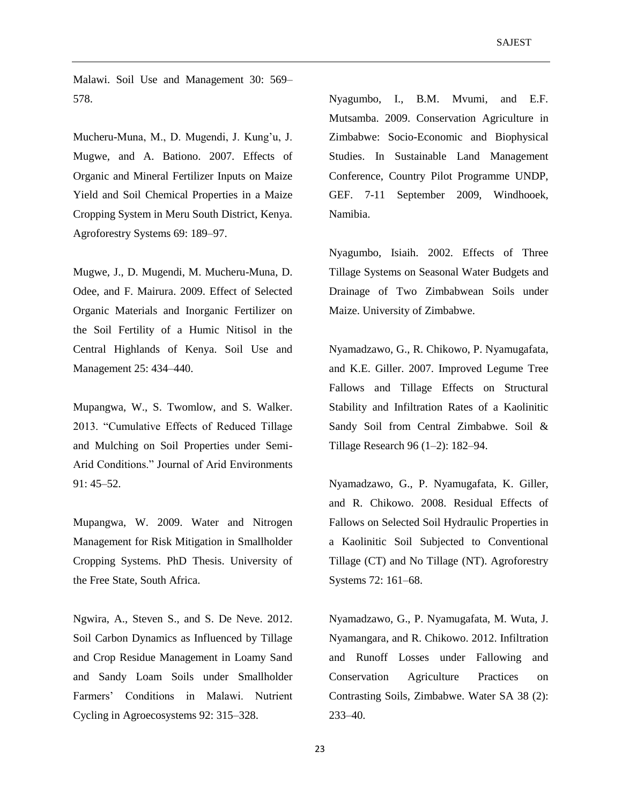Malawi. Soil Use and Management 30: 569– 578.

Mucheru-Muna, M., D. Mugendi, J. Kung'u, J. Mugwe, and A. Bationo. 2007. Effects of Organic and Mineral Fertilizer Inputs on Maize Yield and Soil Chemical Properties in a Maize Cropping System in Meru South District, Kenya. Agroforestry Systems 69: 189–97.

Mugwe, J., D. Mugendi, M. Mucheru-Muna, D. Odee, and F. Mairura. 2009. Effect of Selected Organic Materials and Inorganic Fertilizer on the Soil Fertility of a Humic Nitisol in the Central Highlands of Kenya. Soil Use and Management 25: 434–440.

Mupangwa, W., S. Twomlow, and S. Walker. 2013. "Cumulative Effects of Reduced Tillage and Mulching on Soil Properties under Semi-Arid Conditions." Journal of Arid Environments 91: 45–52.

Mupangwa, W. 2009. Water and Nitrogen Management for Risk Mitigation in Smallholder Cropping Systems. PhD Thesis. University of the Free State, South Africa.

Ngwira, A., Steven S., and S. De Neve. 2012. Soil Carbon Dynamics as Influenced by Tillage and Crop Residue Management in Loamy Sand and Sandy Loam Soils under Smallholder Farmers' Conditions in Malawi. Nutrient Cycling in Agroecosystems 92: 315–328.

Nyagumbo, I., B.M. Mvumi, and E.F. Mutsamba. 2009. Conservation Agriculture in Zimbabwe: Socio-Economic and Biophysical Studies. In Sustainable Land Management Conference, Country Pilot Programme UNDP, GEF. 7-11 September 2009, Windhooek, Namibia.

Nyagumbo, Isiaih. 2002. Effects of Three Tillage Systems on Seasonal Water Budgets and Drainage of Two Zimbabwean Soils under Maize. University of Zimbabwe.

Nyamadzawo, G., R. Chikowo, P. Nyamugafata, and K.E. Giller. 2007. Improved Legume Tree Fallows and Tillage Effects on Structural Stability and Infiltration Rates of a Kaolinitic Sandy Soil from Central Zimbabwe. Soil & Tillage Research 96 (1–2): 182–94.

Nyamadzawo, G., P. Nyamugafata, K. Giller, and R. Chikowo. 2008. Residual Effects of Fallows on Selected Soil Hydraulic Properties in a Kaolinitic Soil Subjected to Conventional Tillage (CT) and No Tillage (NT). Agroforestry Systems 72: 161–68.

Nyamadzawo, G., P. Nyamugafata, M. Wuta, J. Nyamangara, and R. Chikowo. 2012. Infiltration and Runoff Losses under Fallowing and Conservation Agriculture Practices on Contrasting Soils, Zimbabwe. Water SA 38 (2): 233–40.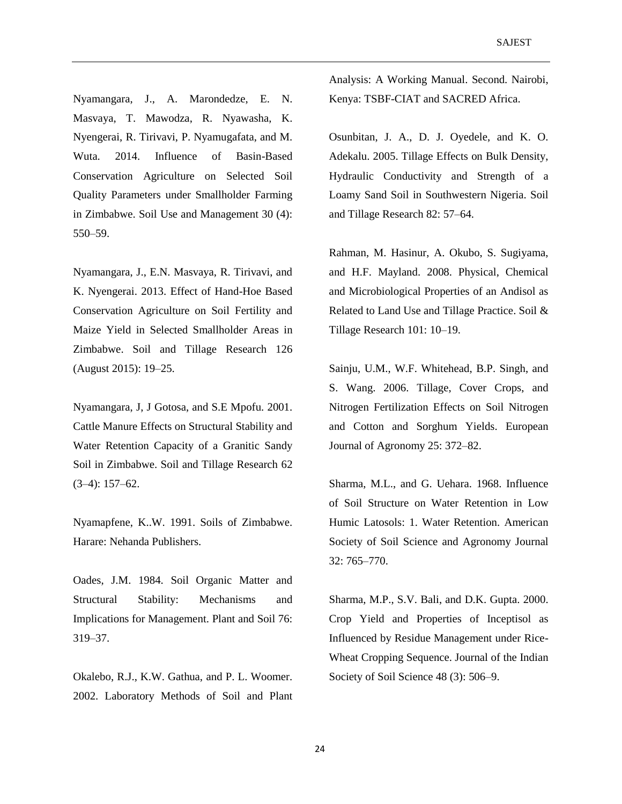Nyamangara, J., A. Marondedze, E. N. Masvaya, T. Mawodza, R. Nyawasha, K. Nyengerai, R. Tirivavi, P. Nyamugafata, and M. Wuta. 2014. Influence of Basin-Based Conservation Agriculture on Selected Soil Quality Parameters under Smallholder Farming in Zimbabwe. Soil Use and Management 30 (4): 550–59.

Nyamangara, J., E.N. Masvaya, R. Tirivavi, and K. Nyengerai. 2013. Effect of Hand-Hoe Based Conservation Agriculture on Soil Fertility and Maize Yield in Selected Smallholder Areas in Zimbabwe. Soil and Tillage Research 126 (August 2015): 19–25.

Nyamangara, J, J Gotosa, and S.E Mpofu. 2001. Cattle Manure Effects on Structural Stability and Water Retention Capacity of a Granitic Sandy Soil in Zimbabwe. Soil and Tillage Research 62 (3–4): 157–62.

Nyamapfene, K..W. 1991. Soils of Zimbabwe. Harare: Nehanda Publishers.

Oades, J.M. 1984. Soil Organic Matter and Structural Stability: Mechanisms and Implications for Management. Plant and Soil 76: 319–37.

Okalebo, R.J., K.W. Gathua, and P. L. Woomer. 2002. Laboratory Methods of Soil and Plant Analysis: A Working Manual. Second. Nairobi, Kenya: TSBF-CIAT and SACRED Africa.

Osunbitan, J. A., D. J. Oyedele, and K. O. Adekalu. 2005. Tillage Effects on Bulk Density, Hydraulic Conductivity and Strength of a Loamy Sand Soil in Southwestern Nigeria. Soil and Tillage Research 82: 57–64.

Rahman, M. Hasinur, A. Okubo, S. Sugiyama, and H.F. Mayland. 2008. Physical, Chemical and Microbiological Properties of an Andisol as Related to Land Use and Tillage Practice. Soil & Tillage Research 101: 10–19.

Sainju, U.M., W.F. Whitehead, B.P. Singh, and S. Wang. 2006. Tillage, Cover Crops, and Nitrogen Fertilization Effects on Soil Nitrogen and Cotton and Sorghum Yields. European Journal of Agronomy 25: 372–82.

Sharma, M.L., and G. Uehara. 1968. Influence of Soil Structure on Water Retention in Low Humic Latosols: 1. Water Retention. American Society of Soil Science and Agronomy Journal 32: 765–770.

Sharma, M.P., S.V. Bali, and D.K. Gupta. 2000. Crop Yield and Properties of Inceptisol as Influenced by Residue Management under Rice-Wheat Cropping Sequence. Journal of the Indian Society of Soil Science 48 (3): 506–9.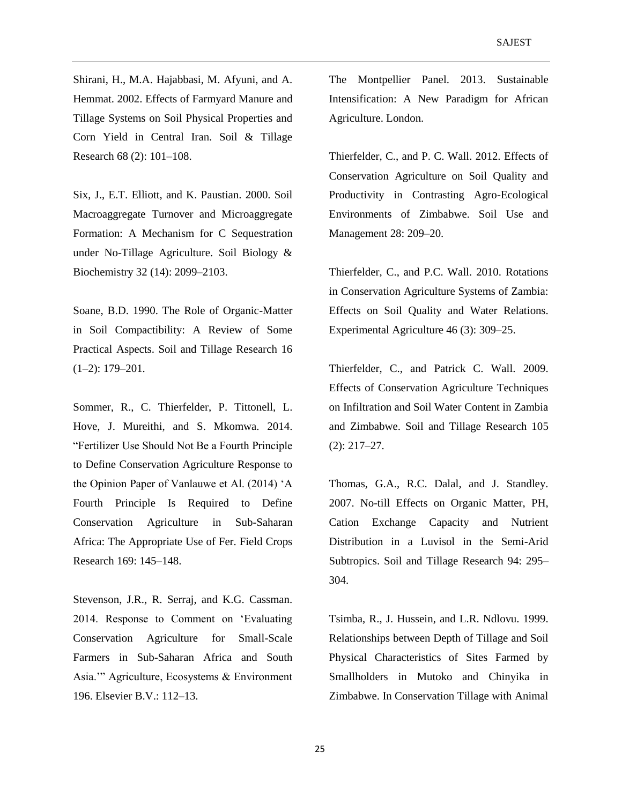Shirani, H., M.A. Hajabbasi, M. Afyuni, and A. Hemmat. 2002. Effects of Farmyard Manure and Tillage Systems on Soil Physical Properties and Corn Yield in Central Iran. Soil & Tillage Research 68 (2): 101–108.

Six, J., E.T. Elliott, and K. Paustian. 2000. Soil Macroaggregate Turnover and Microaggregate Formation: A Mechanism for C Sequestration under No-Tillage Agriculture. Soil Biology & Biochemistry 32 (14): 2099–2103.

Soane, B.D. 1990. The Role of Organic-Matter in Soil Compactibility: A Review of Some Practical Aspects. Soil and Tillage Research 16 (1–2): 179–201.

Sommer, R., C. Thierfelder, P. Tittonell, L. Hove, J. Mureithi, and S. Mkomwa. 2014. "Fertilizer Use Should Not Be a Fourth Principle to Define Conservation Agriculture Response to the Opinion Paper of Vanlauwe et Al. (2014) 'A Fourth Principle Is Required to Define Conservation Agriculture in Sub-Saharan Africa: The Appropriate Use of Fer. Field Crops Research 169: 145–148.

Stevenson, J.R., R. Serraj, and K.G. Cassman. 2014. Response to Comment on 'Evaluating Conservation Agriculture for Small-Scale Farmers in Sub-Saharan Africa and South Asia.'" Agriculture, Ecosystems & Environment 196. Elsevier B.V.: 112–13.

The Montpellier Panel. 2013. Sustainable Intensification: A New Paradigm for African Agriculture. London.

Thierfelder, C., and P. C. Wall. 2012. Effects of Conservation Agriculture on Soil Quality and Productivity in Contrasting Agro-Ecological Environments of Zimbabwe. Soil Use and Management 28: 209–20.

Thierfelder, C., and P.C. Wall. 2010. Rotations in Conservation Agriculture Systems of Zambia: Effects on Soil Quality and Water Relations. Experimental Agriculture 46 (3): 309–25.

Thierfelder, C., and Patrick C. Wall. 2009. Effects of Conservation Agriculture Techniques on Infiltration and Soil Water Content in Zambia and Zimbabwe. Soil and Tillage Research 105 (2): 217–27.

Thomas, G.A., R.C. Dalal, and J. Standley. 2007. No-till Effects on Organic Matter, PH, Cation Exchange Capacity and Nutrient Distribution in a Luvisol in the Semi-Arid Subtropics. Soil and Tillage Research 94: 295– 304.

Tsimba, R., J. Hussein, and L.R. Ndlovu. 1999. Relationships between Depth of Tillage and Soil Physical Characteristics of Sites Farmed by Smallholders in Mutoko and Chinyika in Zimbabwe. In Conservation Tillage with Animal